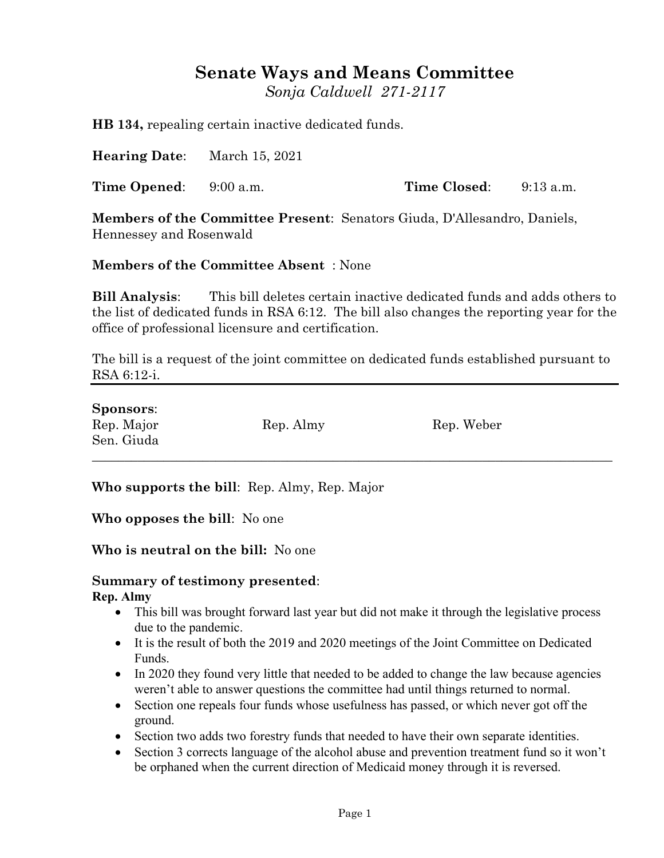## **Senate Ways and Means Committee**

*Sonja Caldwell 271-2117*

**HB 134,** repealing certain inactive dedicated funds.

**Hearing Date**: March 15, 2021

**Time Opened**: 9:00 a.m. **Time Closed**: 9:13 a.m.

**Members of the Committee Present**: Senators Giuda, D'Allesandro, Daniels, Hennessey and Rosenwald

## **Members of the Committee Absent** : None

**Bill Analysis**: This bill deletes certain inactive dedicated funds and adds others to the list of dedicated funds in RSA 6:12. The bill also changes the reporting year for the office of professional licensure and certification.

The bill is a request of the joint committee on dedicated funds established pursuant to RSA 6:12-i.

| <b>Sponsors:</b> |           |            |  |
|------------------|-----------|------------|--|
| Rep. Major       | Rep. Almy | Rep. Weber |  |
| Sen. Giuda       |           |            |  |
|                  |           |            |  |

**Who supports the bill**: Rep. Almy, Rep. Major

**Who opposes the bill**: No one

**Who is neutral on the bill:** No one

## **Summary of testimony presented**: **Rep. Almy**

- This bill was brought forward last year but did not make it through the legislative process due to the pandemic.
- It is the result of both the 2019 and 2020 meetings of the Joint Committee on Dedicated Funds.
- In 2020 they found very little that needed to be added to change the law because agencies weren't able to answer questions the committee had until things returned to normal.
- Section one repeals four funds whose usefulness has passed, or which never got off the ground.
- Section two adds two forestry funds that needed to have their own separate identities.
- Section 3 corrects language of the alcohol abuse and prevention treatment fund so it won't be orphaned when the current direction of Medicaid money through it is reversed.